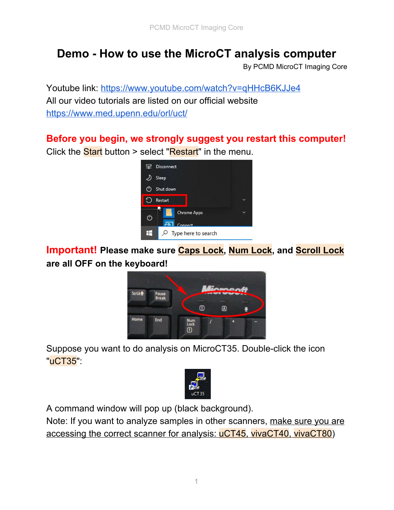## **Demo - How to use the MicroCT analysis computer**

By PCMD MicroCT Imaging Core

Youtube link: <https://www.youtube.com/watch?v=qHHcB6KJJe4> All our video tutorials are listed on our official website <https://www.med.upenn.edu/orl/uct/>

## **Before you begin, we strongly suggest you restart this computer!** Click the **Start** button > select "**Restart**" in the menu.



**Important! Please make sure Caps Lock, Num Lock, and Scroll Lock are all OFF on the keyboard!**



Suppose you want to do analysis on MicroCT35. Double-click the icon "uCT35":



A command window will pop up (black background).

Note: If you want to analyze samples in other scanners, make sure you are accessing the correct scanner for analysis: uCT45, vivaCT40, vivaCT80)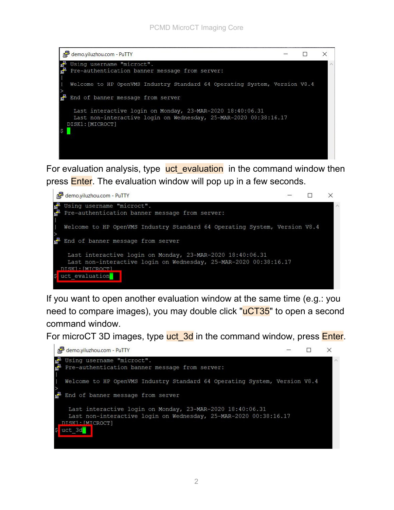

For evaluation analysis, type uct evaluation in the command window then press **Enter**. The evaluation window will pop up in a few seconds.



If you want to open another evaluation window at the same time (e.g.: you need to compare images), you may double click "**uCT35**" to open a second command window.

For microCT 3D images, type uct 3d in the command window, press Enter.